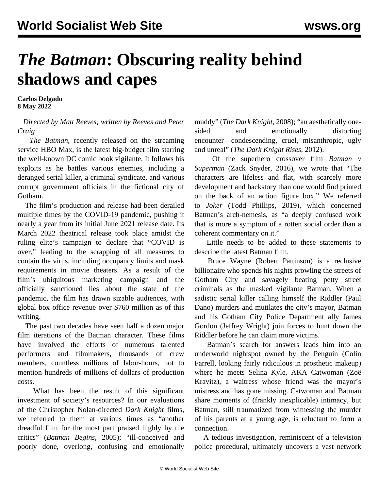## *The Batman***: Obscuring reality behind shadows and capes**

**Carlos Delgado 8 May 2022**

## *Directed by Matt Reeves; written by Reeves and Peter Craig*

 *The Batman*, recently released on the streaming service HBO Max, is the latest big-budget film starring the well-known DC comic book vigilante. It follows his exploits as he battles various enemies, including a deranged serial killer, a criminal syndicate, and various corrupt government officials in the fictional city of Gotham.

 The film's production and release had been derailed multiple times by the COVID-19 pandemic, pushing it nearly a year from its initial June 2021 release date. Its March 2022 theatrical release took place amidst the ruling elite's campaign to declare that "COVID is over," leading to the scrapping of all measures to contain the virus, including occupancy limits and mask requirements in movie theaters. As a result of the film's ubiquitous marketing campaign and the officially sanctioned lies about the state of the pandemic, the film has drawn sizable audiences, with global box office revenue over \$760 million as of this writing.

 The past two decades have seen half a dozen major film iterations of the Batman character. These films have involved the efforts of numerous talented performers and filmmakers, thousands of crew members, countless millions of labor-hours, not to mention hundreds of millions of dollars of production costs.

 What has been the result of this significant investment of society's resources? In our evaluations of the Christopher Nolan-directed *Dark Knight* films, we referred to them at various times as "another dreadful film for the most part praised highly by the critics" (*Batman Begins*, 2005); "ill-conceived and poorly done, overlong, confusing and emotionally

muddy" (*The Dark Knight*, 2008); "an aesthetically onesided and emotionally distorting encounter—condescending, cruel, misanthropic, ugly and unreal" (*The Dark Knight Rises*, 2012).

 Of the superhero crossover film *Batman v Superman* (Zack Snyder, 2016), we wrote that "The characters are lifeless and flat, with scarcely more development and backstory than one would find printed on the back of an action figure box." We referred to *Joker* (Todd Phillips, 2019), which concerned Batman's arch-nemesis, as "a deeply confused work that is more a symptom of a rotten social order than a coherent commentary on it."

 Little needs to be added to these statements to describe the latest Batman film.

 Bruce Wayne (Robert Pattinson) is a reclusive billionaire who spends his nights prowling the streets of Gotham City and savagely beating petty street criminals as the masked vigilante Batman. When a sadistic serial killer calling himself the Riddler (Paul Dano) murders and mutilates the city's mayor, Batman and his Gotham City Police Department ally James Gordon (Jeffrey Wright) join forces to hunt down the Riddler before he can claim more victims.

 Batman's search for answers leads him into an underworld nightspot owned by the Penguin (Colin Farrell, looking fairly ridiculous in prosthetic makeup) where he meets Selina Kyle, AKA Catwoman (Zoë Kravitz), a waitress whose friend was the mayor's mistress and has gone missing. Catwoman and Batman share moments of (frankly inexplicable) intimacy, but Batman, still traumatized from witnessing the murder of his parents at a young age, is reluctant to form a connection.

 A tedious investigation, reminiscent of a television police procedural, ultimately uncovers a vast network